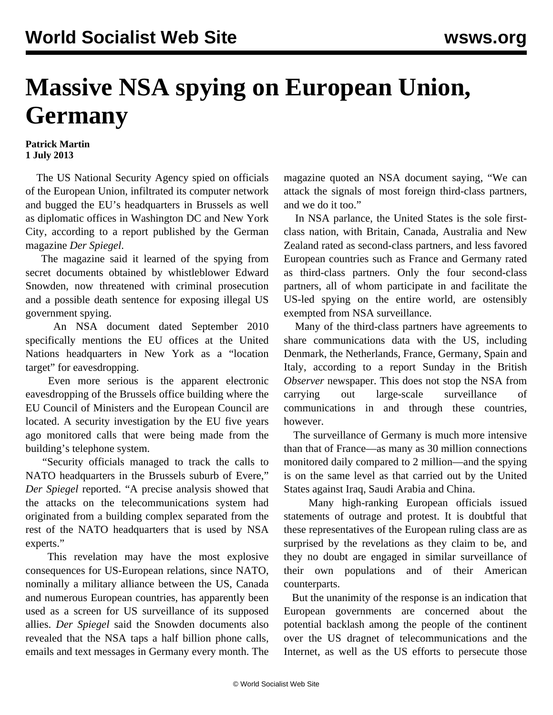## **Massive NSA spying on European Union, Germany**

## **Patrick Martin 1 July 2013**

 The US National Security Agency spied on officials of the European Union, infiltrated its computer network and bugged the EU's headquarters in Brussels as well as diplomatic offices in Washington DC and New York City, according to a report published by the German magazine *Der Spiegel*.

 The magazine said it learned of the spying from secret documents obtained by whistleblower Edward Snowden, now threatened with criminal prosecution and a possible death sentence for exposing illegal US government spying.

 An NSA document dated September 2010 specifically mentions the EU offices at the United Nations headquarters in New York as a "location target" for eavesdropping.

 Even more serious is the apparent electronic eavesdropping of the Brussels office building where the EU Council of Ministers and the European Council are located. A security investigation by the EU five years ago monitored calls that were being made from the building's telephone system.

 "Security officials managed to track the calls to NATO headquarters in the Brussels suburb of Evere," *Der Spiegel* reported. "A precise analysis showed that the attacks on the telecommunications system had originated from a building complex separated from the rest of the NATO headquarters that is used by NSA experts."

 This revelation may have the most explosive consequences for US-European relations, since NATO, nominally a military alliance between the US, Canada and numerous European countries, has apparently been used as a screen for US surveillance of its supposed allies. *Der Spiegel* said the Snowden documents also revealed that the NSA taps a half billion phone calls, emails and text messages in Germany every month. The

magazine quoted an NSA document saying, "We can attack the signals of most foreign third-class partners, and we do it too."

 In NSA parlance, the United States is the sole firstclass nation, with Britain, Canada, Australia and New Zealand rated as second-class partners, and less favored European countries such as France and Germany rated as third-class partners. Only the four second-class partners, all of whom participate in and facilitate the US-led spying on the entire world, are ostensibly exempted from NSA surveillance.

 Many of the third-class partners have agreements to share communications data with the US, including Denmark, the Netherlands, France, Germany, Spain and Italy, according to a report Sunday in the British *Observer* newspaper. This does not stop the NSA from carrying out large-scale surveillance of communications in and through these countries, however.

 The surveillance of Germany is much more intensive than that of France—as many as 30 million connections monitored daily compared to 2 million—and the spying is on the same level as that carried out by the United States against Iraq, Saudi Arabia and China.

 Many high-ranking European officials issued statements of outrage and protest. It is doubtful that these representatives of the European ruling class are as surprised by the revelations as they claim to be, and they no doubt are engaged in similar surveillance of their own populations and of their American counterparts.

 But the unanimity of the response is an indication that European governments are concerned about the potential backlash among the people of the continent over the US dragnet of telecommunications and the Internet, as well as the US efforts to persecute those